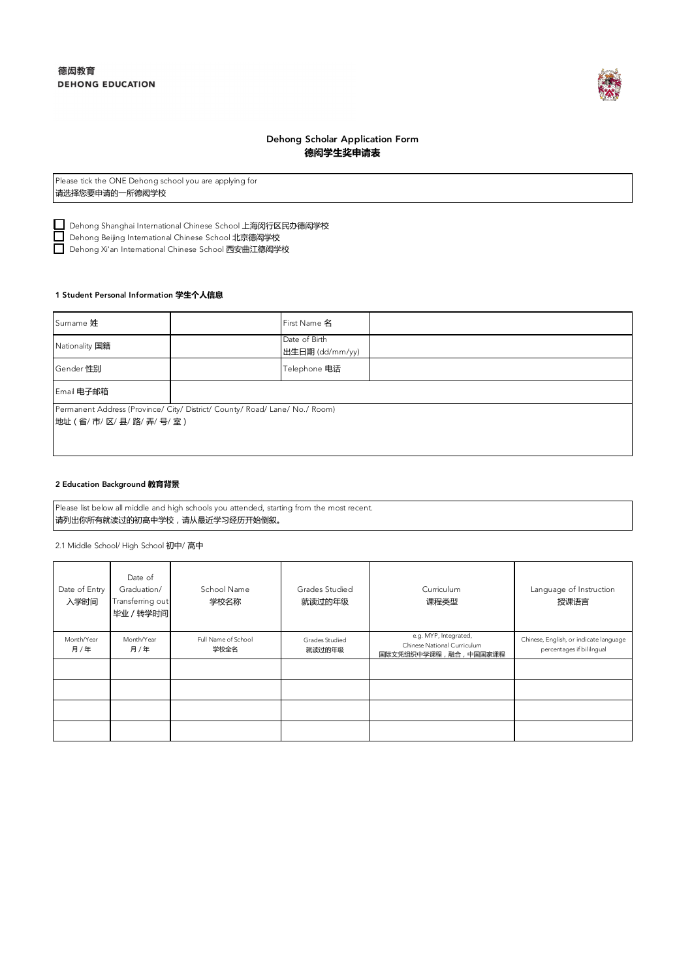

# Dehong Scholar Application Form **德闳学生奖申请表**

| Please tick the ONE Dehong school you are applying for |  |  |
|--------------------------------------------------------|--|--|
| 请选择您要申请的一所德闳学校                                         |  |  |

Dehong Shanghai International Chinese School 上海闵行区民办德闳学校

Dehong Beijing International Chinese School 北京德闳学校

\_\_】Dehong Xi'an International Chinese School 西安曲江德闳学校

## 1 Student Personal Information **学生个人信息**

| Sumame 姓             |                                                                             | First Name 名                     |  |  |  |
|----------------------|-----------------------------------------------------------------------------|----------------------------------|--|--|--|
| Nationality 国籍       |                                                                             | Date of Birth<br>出生日期 (dd/mm/yy) |  |  |  |
| Gender 性别            |                                                                             | Telephone 电话                     |  |  |  |
| Email 电子邮箱           |                                                                             |                                  |  |  |  |
|                      | Permanent Address (Province/ City/ District/ County/ Road/ Lane/ No./ Room) |                                  |  |  |  |
| 地址 (省/市/区/县/路/弄/号/室) |                                                                             |                                  |  |  |  |
|                      |                                                                             |                                  |  |  |  |
|                      |                                                                             |                                  |  |  |  |

# 2 Education Background **教育背景**

Please list below all middle and high schools you attended, starting from the most recent. 请列出你所有就读过的初高中学校,请从最近学习经历开始倒叙。

2.1 Middle School/ High School 初中/ 高中

| Date of Entry<br>入学时间 | Date of<br>Graduation/<br>Transferring out<br>毕业 / 转学时间 | School Name<br>学校名称         | Grades Studied<br>就读过的年级 | Curriculum<br>课程类型                                                           | Language of Instruction<br>授课语言                                     |
|-----------------------|---------------------------------------------------------|-----------------------------|--------------------------|------------------------------------------------------------------------------|---------------------------------------------------------------------|
| Month/Year<br>月/年     | Month/Year<br>月/年                                       | Full Name of School<br>学校全名 | Grades Studied<br>就读过的年级 | e.g. MYP, Integrated,<br>Chinese National Curriculum<br>国际文凭组织中学课程,融合,中国国家课程 | Chinese, English, or indicate language<br>percentages if bililngual |
|                       |                                                         |                             |                          |                                                                              |                                                                     |
|                       |                                                         |                             |                          |                                                                              |                                                                     |
|                       |                                                         |                             |                          |                                                                              |                                                                     |
|                       |                                                         |                             |                          |                                                                              |                                                                     |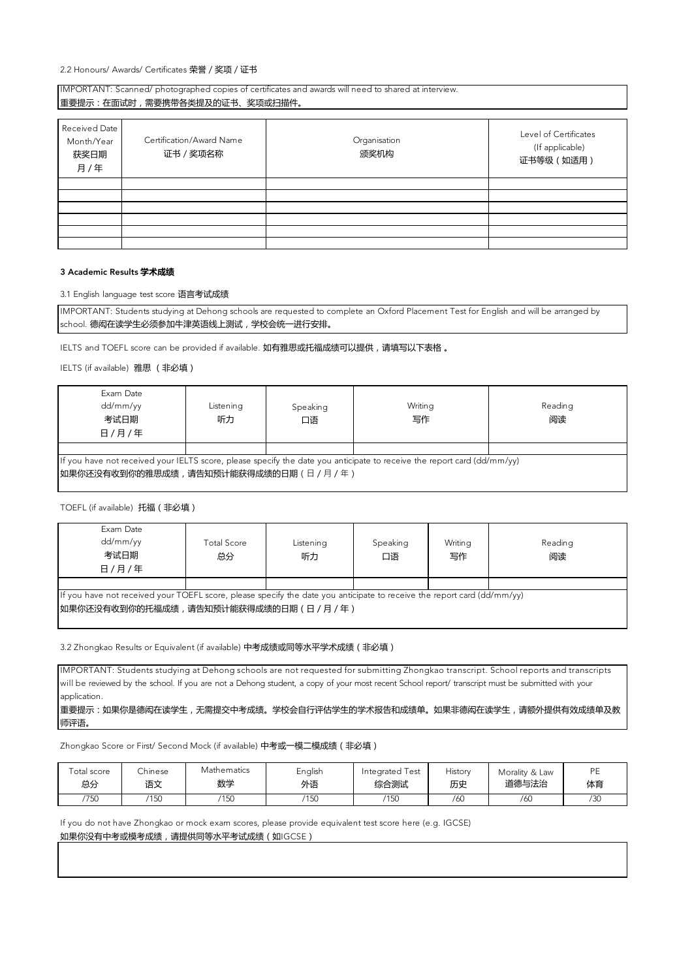Received Date Month/Year 获奖日期 月/年 Level of Certificates (If applicable) 证书等级(如适用) Certification/Award Name 证书/奖项名称 Organisation 颁奖机构 IMPORTANT: Scanned/ photographed copies of certificates and awards will need to shared at interview. 重要提示:在面试时,需要携带各类提及的证书、奖项或扫描件。

### 3 Academic Results **学术成绩**

3.1 English language test score 语言考试成绩

IMPORTANT: Students studying at Dehong schools are requested to complete an Oxford Placement Test for English and will be arranged by school. 德闳在读学生必须参加牛津英语线上测试,学校会统一进行安排。

IELTS and TOEFL score can be provided if available. 如有雅思或托福成绩可以提供, 请填写以下表格。

IELTS (if available) 雅思 (非必填)

| Exam Date<br>dd/mm/yy<br>考试日期<br>日 / 月 / 年                                                                                                                     | Listening<br>听力 | Speaking<br>口语 | Writing<br>写作 | Reading<br>阅读 |  |  |
|----------------------------------------------------------------------------------------------------------------------------------------------------------------|-----------------|----------------|---------------|---------------|--|--|
|                                                                                                                                                                |                 |                |               |               |  |  |
| If you have not received your IELTS score, please specify the date you anticipate to receive the report card (dd/mm/yy)<br>如果你还没有收到你的雅思成绩,请告知预计能获得成绩的日期(日/月/年) |                 |                |               |               |  |  |

TOEFL (if available) 托福(非必填)

| Exam Date<br>dd/mm/yy<br>考试日期<br>日/月/年                                                                                                                          | Total Score<br>总分 | Listening<br>听力 | Speaking<br>口语 | Writing<br>写作 | Reading<br>阅读 |  |
|-----------------------------------------------------------------------------------------------------------------------------------------------------------------|-------------------|-----------------|----------------|---------------|---------------|--|
|                                                                                                                                                                 |                   |                 |                |               |               |  |
| If you have not received your TOEFL score, please specify the date you anticipate to receive the report card (dd/mm/yy)<br> 如果你还没有收到你的托福成绩,请告知预计能获得成绩的日期(日/月/年) |                   |                 |                |               |               |  |

3.2 Zhongkao Results or Equivalent (if available) 中考成绩或同等水平学术成绩 (非必填)

IMPORTANT: Students studying at Dehong schools are not requested for submitting Zhongkao transcript. School reports and transcripts will be reviewed by the school. If you are not a Dehong student, a copy of your most recent School report/ transcript must be submitted with your application.

## 重要提示:如果你是德闳在读学生,无需提交中考成绩。学校会自行评估学生的学术报告和成绩单。如果非德闳在读学生,请额外提供有效成绩单及教 师评语。

Zhongkao Score or First/ Second Mock (if available) 中考或一模二模成绩 (非必填)

| Total score | .hinese       | Mathematics | English | Integrated Test | History | Morality & Law | <b>PE</b> |
|-------------|---------------|-------------|---------|-----------------|---------|----------------|-----------|
| 总分          | 语文            | 数学          | 外语      | 综合测试            | 历史      | 道德与法治          | 体育        |
| 750         | 1150<br>1 J J | 150         | 150     | 150             | /60     | /60            | /30       |

If you do not have Zhongkao or mock exam scores, please provide equivalent test score here (e.g. IGCSE) 如果你没有中考或模考成绩,请提供同等水平考试成绩(如IGCSE)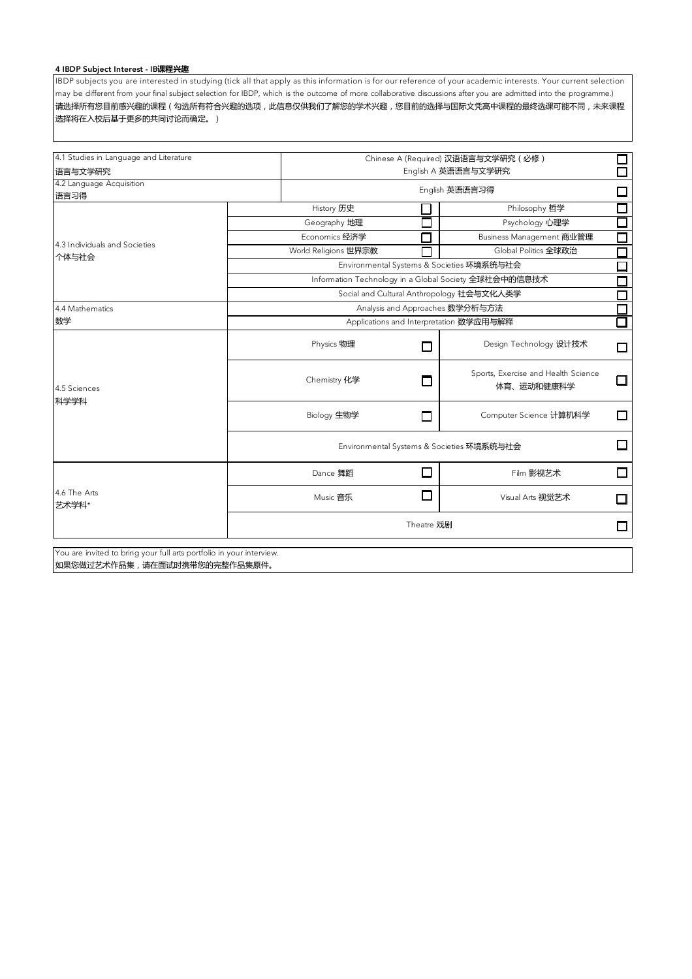# 4 IBDP Subject Interest - IB**课程兴趣**

IBDP subjects you are interested in studying (tick all that apply as this information is for our reference of your academic interests. Your current selection may be different from your final subject selection for IBDP, which is the outcome of more collaborative discussions after you are admitted into the programme.) 请选择所有您目前感兴趣的课程(勾选所有符合兴趣的选项,此信息仅供我们了解您的学术兴趣,您目前的选择与国际文凭高中课程的最终选课可能不同,未来课程 选择将在入校后基于更多的共同讨论而确定。)

| 4.1 Studies in Language and Literature                               |                                           | Chinese A (Required) 汉语语言与文学研究 (必修)<br>8<br>0 |                                                       |                          |  |  |
|----------------------------------------------------------------------|-------------------------------------------|-----------------------------------------------|-------------------------------------------------------|--------------------------|--|--|
| 语言与文学研究                                                              |                                           | English A 英语语言与文学研究                           |                                                       |                          |  |  |
| 4.2 Language Acquisition<br>语言习得                                     |                                           | English 英语语言习得                                |                                                       |                          |  |  |
|                                                                      | History 历史                                |                                               | Philosophy 哲学                                         | □<br>□                   |  |  |
|                                                                      | Geography 地理                              |                                               | Psychology 心理学                                        | $\overline{\phantom{a}}$ |  |  |
|                                                                      | Economics 经济学                             |                                               | Business Management 商业管理                              | $\Box$                   |  |  |
| 4.3 Individuals and Societies                                        | World Religions 世界宗教                      |                                               | Global Politics 全球政治                                  | $\Box$                   |  |  |
| 个体与社会                                                                |                                           |                                               | Environmental Systems & Societies 环境系统与社会             | □                        |  |  |
|                                                                      |                                           |                                               | Information Technology in a Global Society 全球社会中的信息技术 | $\Box$                   |  |  |
|                                                                      |                                           |                                               | Social and Cultural Anthropology 社会与文化人类学             | □                        |  |  |
| 4.4 Mathematics                                                      |                                           |                                               | Analysis and Approaches 数学分析与方法                       | $\Box$                   |  |  |
| 数学                                                                   |                                           |                                               | Applications and Interpretation 数学应用与解释               | Ō                        |  |  |
|                                                                      | Physics 物理                                | П                                             | Design Technology 设计技术                                | $\Box$                   |  |  |
| 4.5 Sciences                                                         | Chemistry 化学                              |                                               | Sports, Exercise and Health Science<br>体育、运动和健康科学     | П                        |  |  |
| 科学学科                                                                 | Biology 生物学                               | П                                             | Computer Science 计算机科学                                | П                        |  |  |
|                                                                      | Environmental Systems & Societies 环境系统与社会 |                                               |                                                       |                          |  |  |
|                                                                      | Dance 舞蹈                                  | П                                             | Film 影视艺术                                             | П                        |  |  |
| 4.6 The Arts<br>艺术学科*                                                | Music 音乐                                  | П                                             | Visual Arts 视觉艺术                                      | П                        |  |  |
|                                                                      |                                           | Theatre 戏剧                                    |                                                       | □                        |  |  |
| You are invited to bring your full arts portfolio in your interview. |                                           |                                               |                                                       |                          |  |  |
| 如果您做过艺术作品集,请在面试时携带您的完整作品集原件。                                         |                                           |                                               |                                                       |                          |  |  |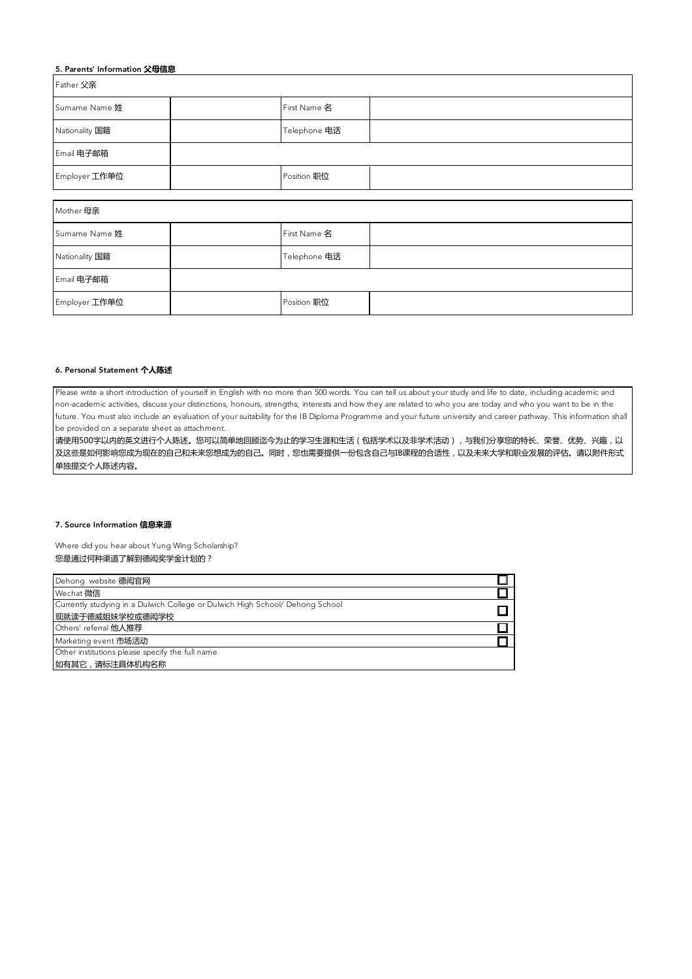| 5. Parents' Information 父母信息 |  |              |  |  |
|------------------------------|--|--------------|--|--|
| <b>Father 父亲</b>             |  |              |  |  |
| Sumame Name 姓                |  | First Name 名 |  |  |
| Nationality 国籍               |  | Telephone 电话 |  |  |
| Email 电子邮箱                   |  |              |  |  |
| Employer 工作单位                |  | Position 职位  |  |  |
|                              |  |              |  |  |
| Mother 母亲                    |  |              |  |  |
| Sumame Name 姓                |  | First Name 名 |  |  |
| Nationality 国籍               |  | Telephone 电话 |  |  |
| Email 电子邮箱                   |  |              |  |  |
| Employer 工作单位                |  | Position 职位  |  |  |

## 6. Personal Statement **个人陈述**

Please write a short introduction of yourself in English with no more than 500 words. You can tell us about your study and life to date, including academic and non-academic activities, discuss your distinctions, honours, strengths, interests and how they are related to who you are today and who you want to be in the future. You must also include an evaluation of your suitability for the IB Diploma Programme and your future university and career pathway. This information shall be provided on a separate sheet as attachment.

请使用500字以内的英文进行个人陈述。您可以简单地回顾迄今为止的学习生涯和生活(包括学术以及非学术活动),与我们分享您的特长、荣誉、优势、兴趣,以 及这些是如何影响您成为现在的自己和未来您想成为的自己。同时,您也需要提供一份包含自己与IB课程的合适性,以及未来大学和职业发展的评估。请以附件形式 单独提交个人陈述内容。

#### 7. Source Information **信息来源**

Where did you hear about Yung Wing Scholarship? 您是通过何种渠道了解到德闳奖学金计划的?

| Dehong website 德闳官网                                                           |  |
|-------------------------------------------------------------------------------|--|
| Wechat 微信                                                                     |  |
| Currently studying in a Dulwich College or Dulwich High School/ Dehong School |  |
| 现就读于德威姐妹学校或德闳学校                                                               |  |
| Others' referral 他人推荐                                                         |  |
| Marketing event 市场活动                                                          |  |
| Other institutions please specify the full name                               |  |
| 如有其它,请标注具体机构名称                                                                |  |